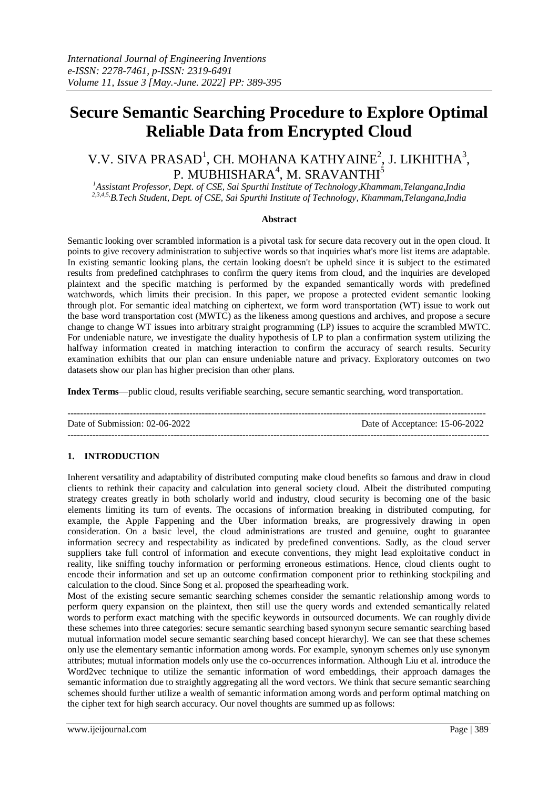# **Secure Semantic Searching Procedure to Explore Optimal Reliable Data from Encrypted Cloud**

# V.V. SIVA PRASAD<sup>1</sup>, CH. MOHANA KATHYAINE<sup>2</sup>, J. LIKHITHA<sup>3</sup>, P. MUBHISHARA $^4$ , M. SRAVANTHI $^5$

*<sup>1</sup>Assistant Professor, Dept. of CSE, Sai Spurthi Institute of Technology,Khammam,Telangana,India 2,3,4,5,B.Tech Student, Dept. of CSE, Sai Spurthi Institute of Technology, Khammam,Telangana,India*

# **Abstract**

Semantic looking over scrambled information is a pivotal task for secure data recovery out in the open cloud. It points to give recovery administration to subjective words so that inquiries what's more list items are adaptable. In existing semantic looking plans, the certain looking doesn't be upheld since it is subject to the estimated results from predefined catchphrases to confirm the query items from cloud, and the inquiries are developed plaintext and the specific matching is performed by the expanded semantically words with predefined watchwords, which limits their precision. In this paper, we propose a protected evident semantic looking through plot. For semantic ideal matching on ciphertext, we form word transportation (WT) issue to work out the base word transportation cost (MWTC) as the likeness among questions and archives, and propose a secure change to change WT issues into arbitrary straight programming (LP) issues to acquire the scrambled MWTC. For undeniable nature, we investigate the duality hypothesis of LP to plan a confirmation system utilizing the halfway information created in matching interaction to confirm the accuracy of search results. Security examination exhibits that our plan can ensure undeniable nature and privacy. Exploratory outcomes on two datasets show our plan has higher precision than other plans.

**Index Terms**—public cloud, results verifiable searching, secure semantic searching, word transportation.

-------------------------------------------------------------------------------------------------------------------------------------- Date of Submission: 02-06-2022 Date of Acceptance: 15-06-2022 ---------------------------------------------------------------------------------------------------------------------------------------

# **1. INTRODUCTION**

Inherent versatility and adaptability of distributed computing make cloud benefits so famous and draw in cloud clients to rethink their capacity and calculation into general society cloud. Albeit the distributed computing strategy creates greatly in both scholarly world and industry, cloud security is becoming one of the basic elements limiting its turn of events. The occasions of information breaking in distributed computing, for example, the Apple Fappening and the Uber information breaks, are progressively drawing in open consideration. On a basic level, the cloud administrations are trusted and genuine, ought to guarantee information secrecy and respectability as indicated by predefined conventions. Sadly, as the cloud server suppliers take full control of information and execute conventions, they might lead exploitative conduct in reality, like sniffing touchy information or performing erroneous estimations. Hence, cloud clients ought to encode their information and set up an outcome confirmation component prior to rethinking stockpiling and calculation to the cloud. Since Song et al. proposed the spearheading work.

Most of the existing secure semantic searching schemes consider the semantic relationship among words to perform query expansion on the plaintext, then still use the query words and extended semantically related words to perform exact matching with the specific keywords in outsourced documents. We can roughly divide these schemes into three categories: secure semantic searching based synonym secure semantic searching based mutual information model secure semantic searching based concept hierarchy]. We can see that these schemes only use the elementary semantic information among words. For example, synonym schemes only use synonym attributes; mutual information models only use the co-occurrences information. Although Liu et al. introduce the Word2vec technique to utilize the semantic information of word embeddings, their approach damages the semantic information due to straightly aggregating all the word vectors. We think that secure semantic searching schemes should further utilize a wealth of semantic information among words and perform optimal matching on the cipher text for high search accuracy. Our novel thoughts are summed up as follows: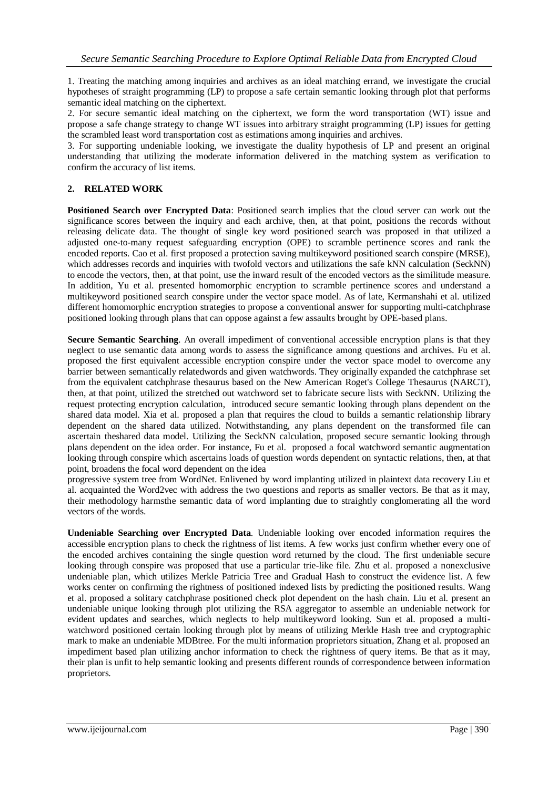1. Treating the matching among inquiries and archives as an ideal matching errand, we investigate the crucial hypotheses of straight programming (LP) to propose a safe certain semantic looking through plot that performs semantic ideal matching on the ciphertext.

2. For secure semantic ideal matching on the ciphertext, we form the word transportation (WT) issue and propose a safe change strategy to change WT issues into arbitrary straight programming (LP) issues for getting the scrambled least word transportation cost as estimations among inquiries and archives.

3. For supporting undeniable looking, we investigate the duality hypothesis of LP and present an original understanding that utilizing the moderate information delivered in the matching system as verification to confirm the accuracy of list items.

# **2. RELATED WORK**

**Positioned Search over Encrypted Data**: Positioned search implies that the cloud server can work out the significance scores between the inquiry and each archive, then, at that point, positions the records without releasing delicate data. The thought of single key word positioned search was proposed in that utilized a adjusted one-to-many request safeguarding encryption (OPE) to scramble pertinence scores and rank the encoded reports. Cao et al. first proposed a protection saving multikeyword positioned search conspire (MRSE), which addresses records and inquiries with twofold vectors and utilizations the safe kNN calculation (SeckNN) to encode the vectors, then, at that point, use the inward result of the encoded vectors as the similitude measure. In addition, Yu et al. presented homomorphic encryption to scramble pertinence scores and understand a multikeyword positioned search conspire under the vector space model. As of late, Kermanshahi et al. utilized different homomorphic encryption strategies to propose a conventional answer for supporting multi-catchphrase positioned looking through plans that can oppose against a few assaults brought by OPE-based plans.

**Secure Semantic Searching**. An overall impediment of conventional accessible encryption plans is that they neglect to use semantic data among words to assess the significance among questions and archives. Fu et al. proposed the first equivalent accessible encryption conspire under the vector space model to overcome any barrier between semantically relatedwords and given watchwords. They originally expanded the catchphrase set from the equivalent catchphrase thesaurus based on the New American Roget's College Thesaurus (NARCT), then, at that point, utilized the stretched out watchword set to fabricate secure lists with SeckNN. Utilizing the request protecting encryption calculation, introduced secure semantic looking through plans dependent on the shared data model. Xia et al. proposed a plan that requires the cloud to builds a semantic relationship library dependent on the shared data utilized. Notwithstanding, any plans dependent on the transformed file can ascertain theshared data model. Utilizing the SeckNN calculation, proposed secure semantic looking through plans dependent on the idea order. For instance, Fu et al. proposed a focal watchword semantic augmentation looking through conspire which ascertains loads of question words dependent on syntactic relations, then, at that point, broadens the focal word dependent on the idea

progressive system tree from WordNet. Enlivened by word implanting utilized in plaintext data recovery Liu et al. acquainted the Word2vec with address the two questions and reports as smaller vectors. Be that as it may, their methodology harmsthe semantic data of word implanting due to straightly conglomerating all the word vectors of the words.

**Undeniable Searching over Encrypted Data**. Undeniable looking over encoded information requires the accessible encryption plans to check the rightness of list items. A few works just confirm whether every one of the encoded archives containing the single question word returned by the cloud. The first undeniable secure looking through conspire was proposed that use a particular trie-like file. Zhu et al. proposed a nonexclusive undeniable plan, which utilizes Merkle Patricia Tree and Gradual Hash to construct the evidence list. A few works center on confirming the rightness of positioned indexed lists by predicting the positioned results. Wang et al. proposed a solitary catchphrase positioned check plot dependent on the hash chain. Liu et al. present an undeniable unique looking through plot utilizing the RSA aggregator to assemble an undeniable network for evident updates and searches, which neglects to help multikeyword looking. Sun et al. proposed a multiwatchword positioned certain looking through plot by means of utilizing Merkle Hash tree and cryptographic mark to make an undeniable MDBtree. For the multi information proprietors situation, Zhang et al. proposed an impediment based plan utilizing anchor information to check the rightness of query items. Be that as it may, their plan is unfit to help semantic looking and presents different rounds of correspondence between information proprietors.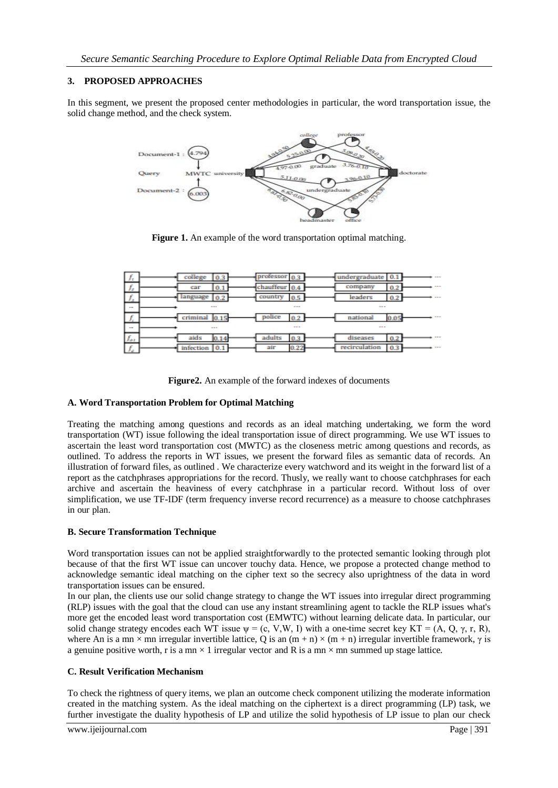# **3. PROPOSED APPROACHES**

In this segment, we present the proposed center methodologies in particular, the word transportation issue, the solid change method, and the check system.



**Figure 1.** An example of the word transportation optimal matching.

| £.<br>J. | college<br>0.3   | professor 0.3  | undergraduate<br>0.1                                                                           |  |
|----------|------------------|----------------|------------------------------------------------------------------------------------------------|--|
| £        | 0.1<br>car       | chauffeur 0.4  | 0.2<br>company                                                                                 |  |
| c        | language<br>0.2  | country<br>0.5 | leaders<br>0.2                                                                                 |  |
| $\cdots$ | <b>STATE</b>     | $\sim$ 0.00    | $\frac{1}{2} \left( \frac{1}{2} \right) \left( \frac{1}{2} \right) \left( \frac{1}{2} \right)$ |  |
| ×        | criminal<br>0.15 | police<br>0.2  | national<br>0.05                                                                               |  |
| $\sim$   | ---              | ---            | $\frac{1}{2} \left( \frac{1}{2} \right) \left( \frac{1}{2} \right) \left( \frac{1}{2} \right)$ |  |
|          |                  |                |                                                                                                |  |
| Jaa      | aids<br>0.14     | adults<br>0.3  | diseases                                                                                       |  |

**Figure2.** An example of the forward indexes of documents

# **A. Word Transportation Problem for Optimal Matching**

Treating the matching among questions and records as an ideal matching undertaking, we form the word transportation (WT) issue following the ideal transportation issue of direct programming. We use WT issues to ascertain the least word transportation cost (MWTC) as the closeness metric among questions and records, as outlined. To address the reports in WT issues, we present the forward files as semantic data of records. An illustration of forward files, as outlined . We characterize every watchword and its weight in the forward list of a report as the catchphrases appropriations for the record. Thusly, we really want to choose catchphrases for each archive and ascertain the heaviness of every catchphrase in a particular record. Without loss of over simplification, we use TF-IDF (term frequency inverse record recurrence) as a measure to choose catchphrases in our plan.

# **B. Secure Transformation Technique**

Word transportation issues can not be applied straightforwardly to the protected semantic looking through plot because of that the first WT issue can uncover touchy data. Hence, we propose a protected change method to acknowledge semantic ideal matching on the cipher text so the secrecy also uprightness of the data in word transportation issues can be ensured.

In our plan, the clients use our solid change strategy to change the WT issues into irregular direct programming (RLP) issues with the goal that the cloud can use any instant streamlining agent to tackle the RLP issues what's more get the encoded least word transportation cost (EMWTC) without learning delicate data. In particular, our solid change strategy encodes each WT issue  $\psi = (c, V, W, I)$  with a one-time secret key KT = (A, Q,  $\gamma$ , r, R), where An is a mn  $\times$  mn irregular invertible lattice, Q is an  $(m + n) \times (m + n)$  irregular invertible framework,  $\gamma$  is a genuine positive worth, r is a mn  $\times$  1 irregular vector and R is a mn  $\times$  mn summed up stage lattice.

# **C. Result Verification Mechanism**

To check the rightness of query items, we plan an outcome check component utilizing the moderate information created in the matching system. As the ideal matching on the ciphertext is a direct programming (LP) task, we further investigate the duality hypothesis of LP and utilize the solid hypothesis of LP issue to plan our check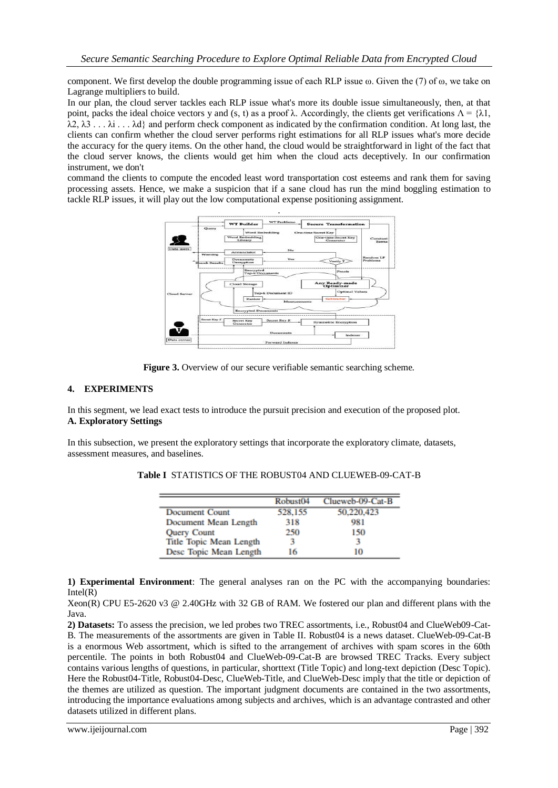component. We first develop the double programming issue of each RLP issue  $\omega$ . Given the (7) of  $\omega$ , we take on Lagrange multipliers to build.

In our plan, the cloud server tackles each RLP issue what's more its double issue simultaneously, then, at that point, packs the ideal choice vectors y and (s, t) as a proof λ. Accordingly, the clients get verifications  $Λ = {λ1$ ,  $\lambda$ 2,  $\lambda$ 3...  $\lambda$ i...  $\lambda$ d} and perform check component as indicated by the confirmation condition. At long last, the clients can confirm whether the cloud server performs right estimations for all RLP issues what's more decide the accuracy for the query items. On the other hand, the cloud would be straightforward in light of the fact that the cloud server knows, the clients would get him when the cloud acts deceptively. In our confirmation instrument, we don't

command the clients to compute the encoded least word transportation cost esteems and rank them for saving processing assets. Hence, we make a suspicion that if a sane cloud has run the mind boggling estimation to tackle RLP issues, it will play out the low computational expense positioning assignment.



**Figure 3.** Overview of our secure verifiable semantic searching scheme.

# **4. EXPERIMENTS**

In this segment, we lead exact tests to introduce the pursuit precision and execution of the proposed plot. **A. Exploratory Settings**

In this subsection, we present the exploratory settings that incorporate the exploratory climate, datasets, assessment measures, and baselines.

|                         | Robust <sub>04</sub> | Clueweb-09-Cat-B |
|-------------------------|----------------------|------------------|
| <b>Document Count</b>   | 528,155              | 50.220.423       |
| Document Mean Length    | 318                  | 981              |
| <b>Query Count</b>      | 250                  | 150              |
| Title Topic Mean Length |                      | 3                |
| Desc Topic Mean Length  | 16                   | 10               |

**Table I** STATISTICS OF THE ROBUST04 AND CLUEWEB-09-CAT-B

**1) Experimental Environment**: The general analyses ran on the PC with the accompanying boundaries:  $Intel(R)$ 

Xeon(R) CPU E5-2620 v3 @ 2.40GHz with 32 GB of RAM. We fostered our plan and different plans with the Java.

**2) Datasets:** To assess the precision, we led probes two TREC assortments, i.e., Robust04 and ClueWeb09-Cat-B. The measurements of the assortments are given in Table II. Robust04 is a news dataset. ClueWeb-09-Cat-B is a enormous Web assortment, which is sifted to the arrangement of archives with spam scores in the 60th percentile. The points in both Robust04 and ClueWeb-09-Cat-B are browsed TREC Tracks. Every subject contains various lengths of questions, in particular, shorttext (Title Topic) and long-text depiction (Desc Topic). Here the Robust04-Title, Robust04-Desc, ClueWeb-Title, and ClueWeb-Desc imply that the title or depiction of the themes are utilized as question. The important judgment documents are contained in the two assortments, introducing the importance evaluations among subjects and archives, which is an advantage contrasted and other datasets utilized in different plans.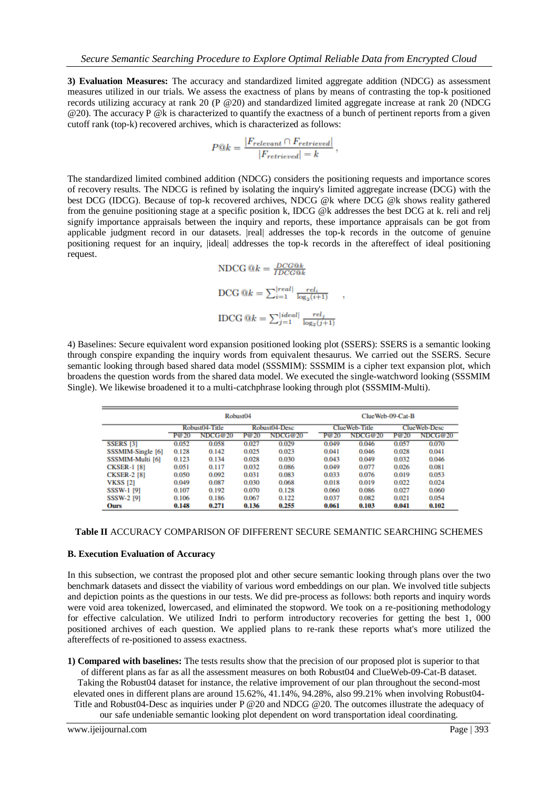**3) Evaluation Measures:** The accuracy and standardized limited aggregate addition (NDCG) as assessment measures utilized in our trials. We assess the exactness of plans by means of contrasting the top-k positioned records utilizing accuracy at rank 20 (P @20) and standardized limited aggregate increase at rank 20 (NDCG @20). The accuracy P @k is characterized to quantify the exactness of a bunch of pertinent reports from a given cutoff rank (top-k) recovered archives, which is characterized as follows:

$$
P@k = \frac{|F_{relevant} \cap F_{retrieved}|}{|F_{retrieved}| = k},
$$

The standardized limited combined addition (NDCG) considers the positioning requests and importance scores of recovery results. The NDCG is refined by isolating the inquiry's limited aggregate increase (DCG) with the best DCG (IDCG). Because of top-k recovered archives, NDCG @k where DCG @k shows reality gathered from the genuine positioning stage at a specific position k, IDCG @k addresses the best DCG at k. reli and relj signify importance appraisals between the inquiry and reports, these importance appraisals can be got from applicable judgment record in our datasets. |real| addresses the top-k records in the outcome of genuine positioning request for an inquiry, |ideal| addresses the top-k records in the aftereffect of ideal positioning request.

NDCG @k = 
$$
\frac{DCG@k}{IDCG@k}
$$
  
\nDCG @k =  $\sum_{i=1}^{|real|} \frac{rel_i}{\log_2(i+1)}$   
\nIDCG @k =  $\sum_{j=1}^{|ideal|} \frac{rel_j}{\log_2(j+1)}$ 

4) Baselines: Secure equivalent word expansion positioned looking plot (SSERS): SSERS is a semantic looking through conspire expanding the inquiry words from equivalent thesaurus. We carried out the SSERS. Secure semantic looking through based shared data model (SSSMIM): SSSMIM is a cipher text expansion plot, which broadens the question words from the shared data model. We executed the single-watchword looking (SSSMIM Single). We likewise broadened it to a multi-catchphrase looking through plot (SSSMIM-Multi).

|                    | Robust <sub>04</sub> |         |               | ClueWeb-09-Cat-B |               |         |              |         |
|--------------------|----------------------|---------|---------------|------------------|---------------|---------|--------------|---------|
|                    | Robust04-Title       |         | Robust04-Desc |                  | ClueWeb-Title |         | ClueWeb-Desc |         |
|                    | P@20                 | NDCG@20 | P@20          | NDCG@20          | P@20          | NDCG@20 | P@20         | NDCG@20 |
| <b>SSERS [3]</b>   | 0.052                | 0.058   | 0.027         | 0.029            | 0.049         | 0.046   | 0.057        | 0.070   |
| SSSMIM-Single [6]  | 0.128                | 0.142   | 0.025         | 0.023            | 0.041         | 0.046   | 0.028        | 0.041   |
| SSSMIM-Multi [6]   | 0.123                | 0.134   | 0.028         | 0.030            | 0.043         | 0.049   | 0.032        | 0.046   |
| <b>CKSER-1 [8]</b> | 0.051                | 0.117   | 0.032         | 0.086            | 0.049         | 0.077   | 0.026        | 0.081   |
| <b>CKSER-2 [8]</b> | 0.050                | 0.092   | 0.031         | 0.083            | 0.033         | 0.076   | 0.019        | 0.053   |
| <b>VKSS [2]</b>    | 0.049                | 0.087   | 0.030         | 0.068            | 0.018         | 0.019   | 0.022        | 0.024   |
| <b>SSSW-1 [9]</b>  | 0.107                | 0.192   | 0.070         | 0.128            | 0.060         | 0.086   | 0.027        | 0.060   |
| <b>SSSW-2 [9]</b>  | 0.106                | 0.186   | 0.067         | 0.122            | 0.037         | 0.082   | 0.021        | 0.054   |
| Ours               | 0.148                | 0.271   | 0.136         | 0.255            | 0.061         | 0.103   | 0.041        | 0.102   |

#### **Table II** ACCURACY COMPARISON OF DIFFERENT SECURE SEMANTIC SEARCHING SCHEMES

#### **B. Execution Evaluation of Accuracy**

In this subsection, we contrast the proposed plot and other secure semantic looking through plans over the two benchmark datasets and dissect the viability of various word embeddings on our plan. We involved title subjects and depiction points as the questions in our tests. We did pre-process as follows: both reports and inquiry words were void area tokenized, lowercased, and eliminated the stopword. We took on a re-positioning methodology for effective calculation. We utilized Indri to perform introductory recoveries for getting the best 1, 000 positioned archives of each question. We applied plans to re-rank these reports what's more utilized the aftereffects of re-positioned to assess exactness.

**1) Compared with baselines:** The tests results show that the precision of our proposed plot is superior to that of different plans as far as all the assessment measures on both Robust04 and ClueWeb-09-Cat-B dataset. Taking the Robust04 dataset for instance, the relative improvement of our plan throughout the second-most elevated ones in different plans are around 15.62%, 41.14%, 94.28%, also 99.21% when involving Robust04- Title and Robust04-Desc as inquiries under P @20 and NDCG @20. The outcomes illustrate the adequacy of our safe undeniable semantic looking plot dependent on word transportation ideal coordinating.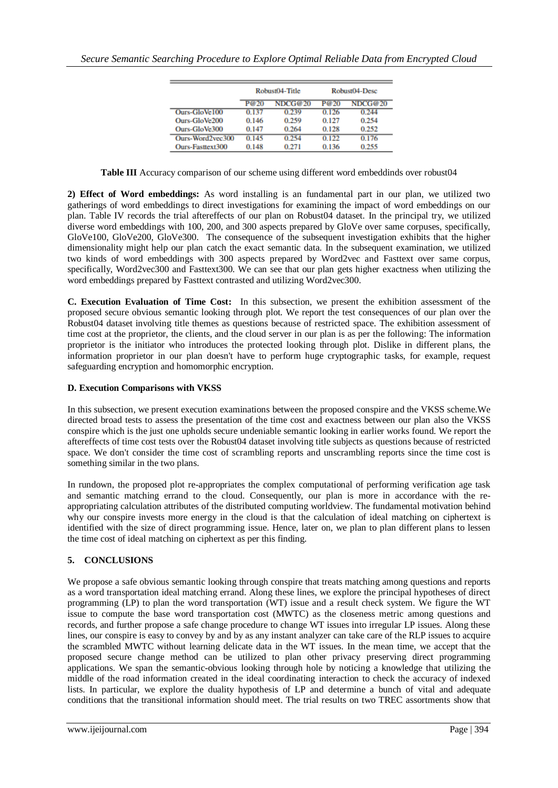|                  | Robust04-Title |         | Robust04-Desc |         |
|------------------|----------------|---------|---------------|---------|
|                  | P@20           | NDCG@20 | P@20          | NDCG@20 |
| Ours-GloVe100    | 0.137          | 0.239   | 0.126         | 0.244   |
| Ours-GloVe200    | 0.146          | 0.259   | 0.127         | 0.254   |
| Ours-GloVe300    | 0.147          | 0.264   | 0.128         | 0.252   |
| Ours-Word2yec300 | 0.145          | 0.254   | 0.122         | 0.176   |
| Ours-Fasttext300 | 0.148          | 0.271   | 0.136         | 0.255   |

**Table III** Accuracy comparison of our scheme using different word embeddinds over robust04

**2) Effect of Word embeddings:** As word installing is an fundamental part in our plan, we utilized two gatherings of word embeddings to direct investigations for examining the impact of word embeddings on our plan. Table IV records the trial aftereffects of our plan on Robust04 dataset. In the principal try, we utilized diverse word embeddings with 100, 200, and 300 aspects prepared by GloVe over same corpuses, specifically, GloVe100, GloVe200, GloVe300. The consequence of the subsequent investigation exhibits that the higher dimensionality might help our plan catch the exact semantic data. In the subsequent examination, we utilized two kinds of word embeddings with 300 aspects prepared by Word2vec and Fasttext over same corpus, specifically, Word2vec300 and Fasttext300. We can see that our plan gets higher exactness when utilizing the word embeddings prepared by Fasttext contrasted and utilizing Word2vec300.

**C. Execution Evaluation of Time Cost:** In this subsection, we present the exhibition assessment of the proposed secure obvious semantic looking through plot. We report the test consequences of our plan over the Robust04 dataset involving title themes as questions because of restricted space. The exhibition assessment of time cost at the proprietor, the clients, and the cloud server in our plan is as per the following: The information proprietor is the initiator who introduces the protected looking through plot. Dislike in different plans, the information proprietor in our plan doesn't have to perform huge cryptographic tasks, for example, request safeguarding encryption and homomorphic encryption.

# **D. Execution Comparisons with VKSS**

In this subsection, we present execution examinations between the proposed conspire and the VKSS scheme.We directed broad tests to assess the presentation of the time cost and exactness between our plan also the VKSS conspire which is the just one upholds secure undeniable semantic looking in earlier works found. We report the aftereffects of time cost tests over the Robust04 dataset involving title subjects as questions because of restricted space. We don't consider the time cost of scrambling reports and unscrambling reports since the time cost is something similar in the two plans.

In rundown, the proposed plot re-appropriates the complex computational of performing verification age task and semantic matching errand to the cloud. Consequently, our plan is more in accordance with the reappropriating calculation attributes of the distributed computing worldview. The fundamental motivation behind why our conspire invests more energy in the cloud is that the calculation of ideal matching on ciphertext is identified with the size of direct programming issue. Hence, later on, we plan to plan different plans to lessen the time cost of ideal matching on ciphertext as per this finding.

# **5. CONCLUSIONS**

We propose a safe obvious semantic looking through conspire that treats matching among questions and reports as a word transportation ideal matching errand. Along these lines, we explore the principal hypotheses of direct programming (LP) to plan the word transportation (WT) issue and a result check system. We figure the WT issue to compute the base word transportation cost (MWTC) as the closeness metric among questions and records, and further propose a safe change procedure to change WT issues into irregular LP issues. Along these lines, our conspire is easy to convey by and by as any instant analyzer can take care of the RLP issues to acquire the scrambled MWTC without learning delicate data in the WT issues. In the mean time, we accept that the proposed secure change method can be utilized to plan other privacy preserving direct programming applications. We span the semantic-obvious looking through hole by noticing a knowledge that utilizing the middle of the road information created in the ideal coordinating interaction to check the accuracy of indexed lists. In particular, we explore the duality hypothesis of LP and determine a bunch of vital and adequate conditions that the transitional information should meet. The trial results on two TREC assortments show that